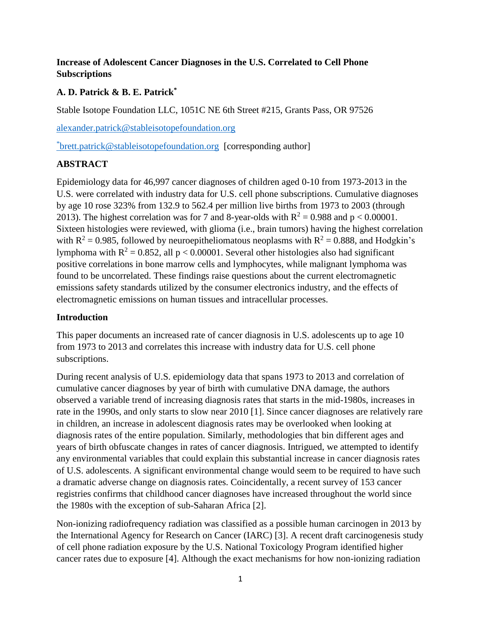## **Increase of Adolescent Cancer Diagnoses in the U.S. Correlated to Cell Phone Subscriptions**

## **A. D. Patrick & B. E. Patrick\***

Stable Isotope Foundation LLC, 1051C NE 6th Street #215, Grants Pass, OR 97526

[alexander.patrick@stableisotopefoundation.org](mailto:alexander.patrick@stableisotopefoundation.org)

\* [brett.patrick@stableisotopefoundation.org](mailto:brett.patrick@stableisotopefoundation.org) [corresponding author]

# **ABSTRACT**

Epidemiology data for 46,997 cancer diagnoses of children aged 0-10 from 1973-2013 in the U.S. were correlated with industry data for U.S. cell phone subscriptions. Cumulative diagnoses by age 10 rose 323% from 132.9 to 562.4 per million live births from 1973 to 2003 (through 2013). The highest correlation was for 7 and 8-year-olds with  $R^2 = 0.988$  and  $p < 0.00001$ . Sixteen histologies were reviewed, with glioma (i.e., brain tumors) having the highest correlation with  $R^2 = 0.985$ , followed by neuroepitheliomatous neoplasms with  $R^2 = 0.888$ , and Hodgkin's lymphoma with  $R^2 = 0.852$ , all  $p < 0.00001$ . Several other histologies also had significant positive correlations in bone marrow cells and lymphocytes, while malignant lymphoma was found to be uncorrelated. These findings raise questions about the current electromagnetic emissions safety standards utilized by the consumer electronics industry, and the effects of electromagnetic emissions on human tissues and intracellular processes.

## **Introduction**

This paper documents an increased rate of cancer diagnosis in U.S. adolescents up to age 10 from 1973 to 2013 and correlates this increase with industry data for U.S. cell phone subscriptions.

During recent analysis of U.S. epidemiology data that spans 1973 to 2013 and correlation of cumulative cancer diagnoses by year of birth with cumulative DNA damage, the authors observed a variable trend of increasing diagnosis rates that starts in the mid-1980s, increases in rate in the 1990s, and only starts to slow near 2010 [1]. Since cancer diagnoses are relatively rare in children, an increase in adolescent diagnosis rates may be overlooked when looking at diagnosis rates of the entire population. Similarly, methodologies that bin different ages and years of birth obfuscate changes in rates of cancer diagnosis. Intrigued, we attempted to identify any environmental variables that could explain this substantial increase in cancer diagnosis rates of U.S. adolescents. A significant environmental change would seem to be required to have such a dramatic adverse change on diagnosis rates. Coincidentally, a recent survey of 153 cancer registries confirms that childhood cancer diagnoses have increased throughout the world since the 1980s with the exception of sub-Saharan Africa [2].

Non-ionizing radiofrequency radiation was classified as a possible human carcinogen in 2013 by the International Agency for Research on Cancer (IARC) [3]. A recent draft carcinogenesis study of cell phone radiation exposure by the U.S. National Toxicology Program identified higher cancer rates due to exposure [4]. Although the exact mechanisms for how non-ionizing radiation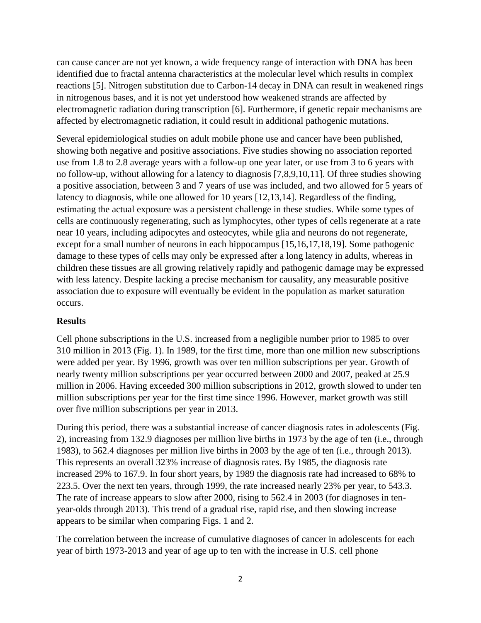can cause cancer are not yet known, a wide frequency range of interaction with DNA has been identified due to fractal antenna characteristics at the molecular level which results in complex reactions [5]. Nitrogen substitution due to Carbon-14 decay in DNA can result in weakened rings in nitrogenous bases, and it is not yet understood how weakened strands are affected by electromagnetic radiation during transcription [6]. Furthermore, if genetic repair mechanisms are affected by electromagnetic radiation, it could result in additional pathogenic mutations.

Several epidemiological studies on adult mobile phone use and cancer have been published, showing both negative and positive associations. Five studies showing no association reported use from 1.8 to 2.8 average years with a follow-up one year later, or use from 3 to 6 years with no follow-up, without allowing for a latency to diagnosis [7,8,9,10,11]. Of three studies showing a positive association, between 3 and 7 years of use was included, and two allowed for 5 years of latency to diagnosis, while one allowed for 10 years [12,13,14]. Regardless of the finding, estimating the actual exposure was a persistent challenge in these studies. While some types of cells are continuously regenerating, such as lymphocytes, other types of cells regenerate at a rate near 10 years, including adipocytes and osteocytes, while glia and neurons do not regenerate, except for a small number of neurons in each hippocampus [15,16,17,18,19]. Some pathogenic damage to these types of cells may only be expressed after a long latency in adults, whereas in children these tissues are all growing relatively rapidly and pathogenic damage may be expressed with less latency. Despite lacking a precise mechanism for causality, any measurable positive association due to exposure will eventually be evident in the population as market saturation occurs.

#### **Results**

Cell phone subscriptions in the U.S. increased from a negligible number prior to 1985 to over 310 million in 2013 (Fig. 1). In 1989, for the first time, more than one million new subscriptions were added per year. By 1996, growth was over ten million subscriptions per year. Growth of nearly twenty million subscriptions per year occurred between 2000 and 2007, peaked at 25.9 million in 2006. Having exceeded 300 million subscriptions in 2012, growth slowed to under ten million subscriptions per year for the first time since 1996. However, market growth was still over five million subscriptions per year in 2013.

During this period, there was a substantial increase of cancer diagnosis rates in adolescents (Fig. 2), increasing from 132.9 diagnoses per million live births in 1973 by the age of ten (i.e., through 1983), to 562.4 diagnoses per million live births in 2003 by the age of ten (i.e., through 2013). This represents an overall 323% increase of diagnosis rates. By 1985, the diagnosis rate increased 29% to 167.9. In four short years, by 1989 the diagnosis rate had increased to 68% to 223.5. Over the next ten years, through 1999, the rate increased nearly 23% per year, to 543.3. The rate of increase appears to slow after 2000, rising to 562.4 in 2003 (for diagnoses in tenyear-olds through 2013). This trend of a gradual rise, rapid rise, and then slowing increase appears to be similar when comparing Figs. 1 and 2.

The correlation between the increase of cumulative diagnoses of cancer in adolescents for each year of birth 1973-2013 and year of age up to ten with the increase in U.S. cell phone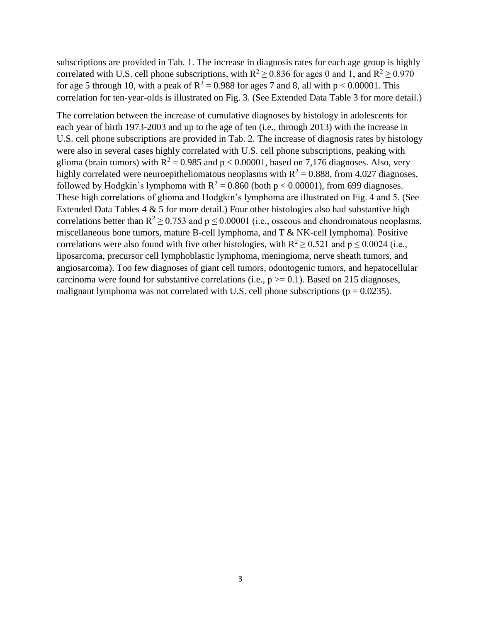subscriptions are provided in Tab. 1. The increase in diagnosis rates for each age group is highly correlated with U.S. cell phone subscriptions, with  $R^2 \ge 0.836$  for ages 0 and 1, and  $R^2 \ge 0.970$ for age 5 through 10, with a peak of  $R^2 = 0.988$  for ages 7 and 8, all with p < 0.00001. This correlation for ten-year-olds is illustrated on Fig. 3. (See Extended Data Table 3 for more detail.)

The correlation between the increase of cumulative diagnoses by histology in adolescents for each year of birth 1973-2003 and up to the age of ten (i.e., through 2013) with the increase in U.S. cell phone subscriptions are provided in Tab. 2. The increase of diagnosis rates by histology were also in several cases highly correlated with U.S. cell phone subscriptions, peaking with glioma (brain tumors) with  $R^2 = 0.985$  and  $p < 0.00001$ , based on 7,176 diagnoses. Also, very highly correlated were neuroepitheliomatous neoplasms with  $R^2 = 0.888$ , from 4,027 diagnoses, followed by Hodgkin's lymphoma with  $R^2 = 0.860$  (both  $p < 0.00001$ ), from 699 diagnoses. These high correlations of glioma and Hodgkin's lymphoma are illustrated on Fig. 4 and 5. (See Extended Data Tables  $4 \& 5$  for more detail.) Four other histologies also had substantive high correlations better than  $R^2 \ge 0.753$  and  $p \le 0.00001$  (i.e., osseous and chondromatous neoplasms, miscellaneous bone tumors, mature B-cell lymphoma, and T & NK-cell lymphoma). Positive correlations were also found with five other histologies, with  $R^2 > 0.521$  and  $p \le 0.0024$  (i.e., liposarcoma, precursor cell lymphoblastic lymphoma, meningioma, nerve sheath tumors, and angiosarcoma). Too few diagnoses of giant cell tumors, odontogenic tumors, and hepatocellular carcinoma were found for substantive correlations (i.e.,  $p \ge 0.1$ ). Based on 215 diagnoses, malignant lymphoma was not correlated with U.S. cell phone subscriptions ( $p = 0.0235$ ).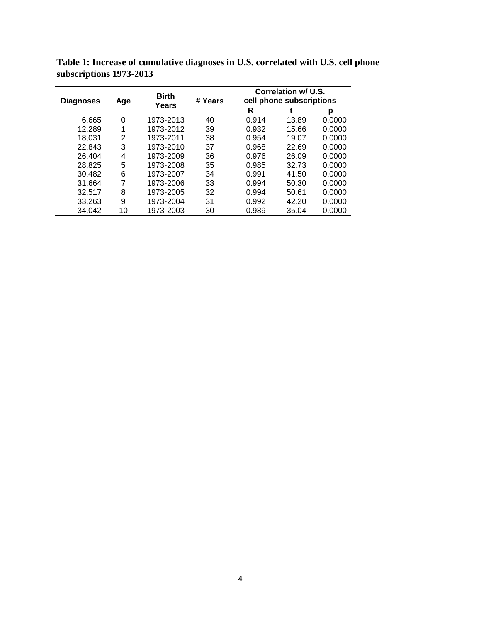| <b>Diagnoses</b> | <b>Birth</b><br>Age<br>Years | # Years   | Correlation w/ U.S.<br>cell phone subscriptions |       |       |        |
|------------------|------------------------------|-----------|-------------------------------------------------|-------|-------|--------|
|                  |                              |           |                                                 | R     |       | р      |
| 6,665            | 0                            | 1973-2013 | 40                                              | 0.914 | 13.89 | 0.0000 |
| 12,289           | 1                            | 1973-2012 | 39                                              | 0.932 | 15.66 | 0.0000 |
| 18,031           | 2                            | 1973-2011 | 38                                              | 0.954 | 19.07 | 0.0000 |
| 22.843           | 3                            | 1973-2010 | 37                                              | 0.968 | 22.69 | 0.0000 |
| 26,404           | 4                            | 1973-2009 | 36                                              | 0.976 | 26.09 | 0.0000 |
| 28,825           | 5                            | 1973-2008 | 35                                              | 0.985 | 32.73 | 0.0000 |
| 30,482           | 6                            | 1973-2007 | 34                                              | 0.991 | 41.50 | 0.0000 |
| 31.664           | 7                            | 1973-2006 | 33                                              | 0.994 | 50.30 | 0.0000 |
| 32,517           | 8                            | 1973-2005 | 32                                              | 0.994 | 50.61 | 0.0000 |
| 33,263           | 9                            | 1973-2004 | 31                                              | 0.992 | 42.20 | 0.0000 |
| 34.042           | 10                           | 1973-2003 | 30                                              | 0.989 | 35.04 | 0.0000 |

**Table 1: Increase of cumulative diagnoses in U.S. correlated with U.S. cell phone subscriptions 1973-2013**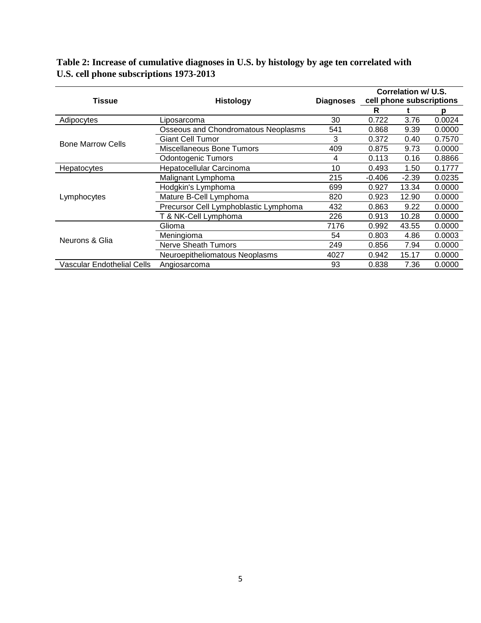|  | Table 2: Increase of cumulative diagnoses in U.S. by histology by age ten correlated with |  |  |
|--|-------------------------------------------------------------------------------------------|--|--|
|  | U.S. cell phone subscriptions 1973-2013                                                   |  |  |

|                                   |                                       |                  | Correlation w/ U.S.      |         |        |
|-----------------------------------|---------------------------------------|------------------|--------------------------|---------|--------|
| <b>Tissue</b>                     | <b>Histology</b>                      | <b>Diagnoses</b> | cell phone subscriptions |         |        |
|                                   |                                       |                  | R                        |         | р      |
| Adipocytes                        | Liposarcoma                           | 30               | 0.722                    | 3.76    | 0.0024 |
|                                   | Osseous and Chondromatous Neoplasms   | 541              | 0.868                    | 9.39    | 0.0000 |
| <b>Bone Marrow Cells</b>          | Giant Cell Tumor                      | 3                | 0.372                    | 0.40    | 0.7570 |
|                                   | Miscellaneous Bone Tumors             | 409              | 0.875                    | 9.73    | 0.0000 |
|                                   | <b>Odontogenic Tumors</b>             | 4                | 0.113                    | 0.16    | 0.8866 |
| Hepatocytes                       | Hepatocellular Carcinoma              | 10               | 0.493                    | 1.50    | 0.1777 |
|                                   | Malignant Lymphoma                    | 215              | $-0.406$                 | $-2.39$ | 0.0235 |
|                                   | Hodgkin's Lymphoma                    | 699              | 0.927                    | 13.34   | 0.0000 |
| Lymphocytes                       | Mature B-Cell Lymphoma                | 820              | 0.923                    | 12.90   | 0.0000 |
|                                   | Precursor Cell Lymphoblastic Lymphoma | 432              | 0.863                    | 9.22    | 0.0000 |
|                                   | T & NK-Cell Lymphoma                  | 226              | 0.913                    | 10.28   | 0.0000 |
|                                   | Glioma                                | 7176             | 0.992                    | 43.55   | 0.0000 |
| Neurons & Glia                    | Meningioma                            | 54               | 0.803                    | 4.86    | 0.0003 |
|                                   | <b>Nerve Sheath Tumors</b>            | 249              | 0.856                    | 7.94    | 0.0000 |
|                                   | Neuroepitheliomatous Neoplasms        | 4027             | 0.942                    | 15.17   | 0.0000 |
| <b>Vascular Endothelial Cells</b> | Angiosarcoma                          | 93               | 0.838                    | 7.36    | 0.0000 |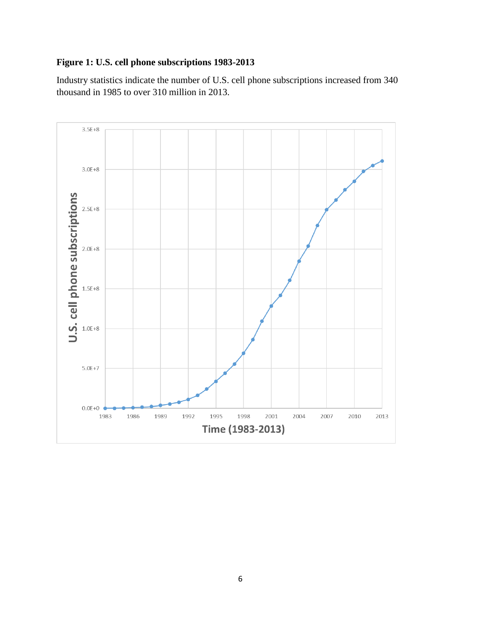## **Figure 1: U.S. cell phone subscriptions 1983-2013**

Industry statistics indicate the number of U.S. cell phone subscriptions increased from 340 thousand in 1985 to over 310 million in 2013.

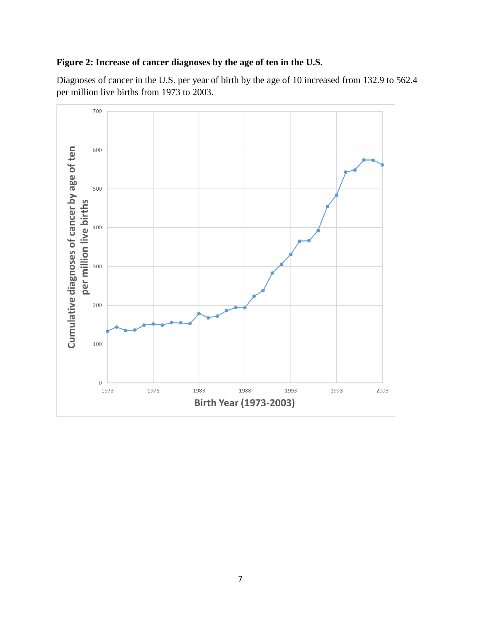## **Figure 2: Increase of cancer diagnoses by the age of ten in the U.S.**

Diagnoses of cancer in the U.S. per year of birth by the age of 10 increased from 132.9 to 562.4 per million live births from 1973 to 2003.

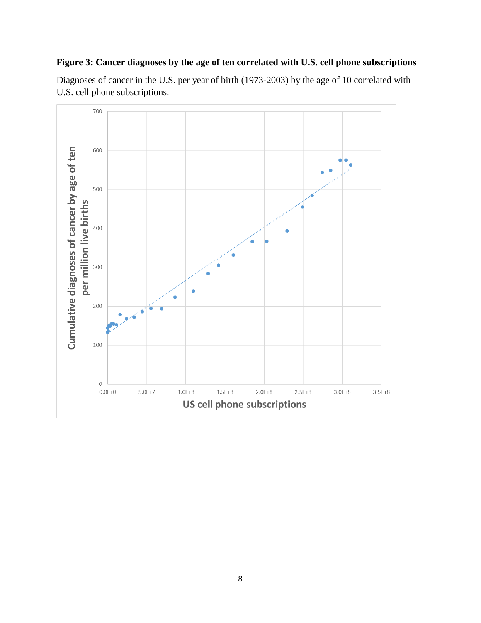## **Figure 3: Cancer diagnoses by the age of ten correlated with U.S. cell phone subscriptions**

Diagnoses of cancer in the U.S. per year of birth (1973-2003) by the age of 10 correlated with U.S. cell phone subscriptions.

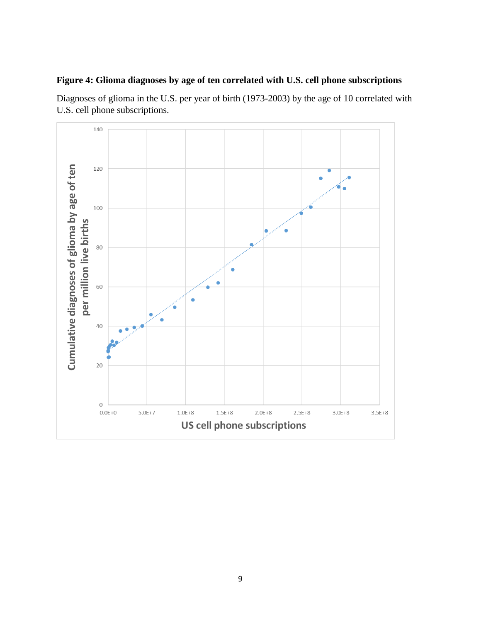### **Figure 4: Glioma diagnoses by age of ten correlated with U.S. cell phone subscriptions**

Diagnoses of glioma in the U.S. per year of birth (1973-2003) by the age of 10 correlated with U.S. cell phone subscriptions.

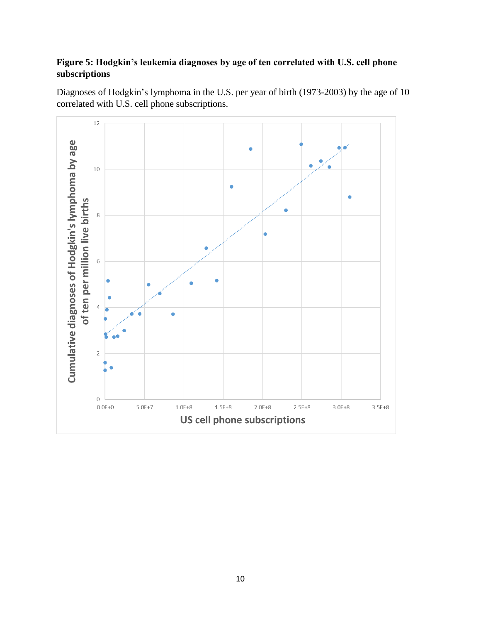## **Figure 5: Hodgkin's leukemia diagnoses by age of ten correlated with U.S. cell phone subscriptions**



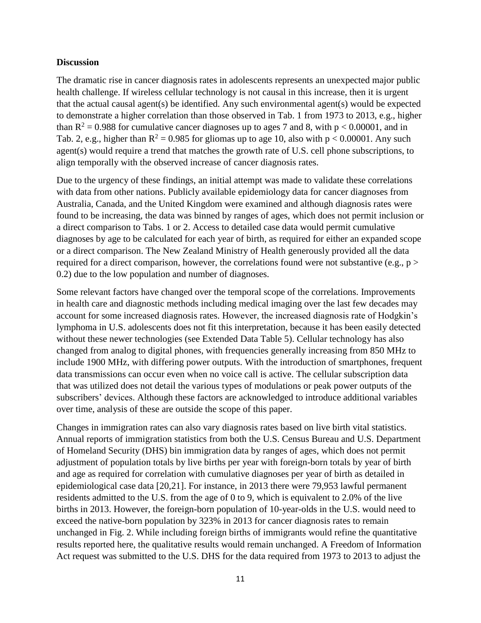#### **Discussion**

The dramatic rise in cancer diagnosis rates in adolescents represents an unexpected major public health challenge. If wireless cellular technology is not causal in this increase, then it is urgent that the actual causal agent(s) be identified. Any such environmental agent(s) would be expected to demonstrate a higher correlation than those observed in Tab. 1 from 1973 to 2013, e.g., higher than  $R^2 = 0.988$  for cumulative cancer diagnoses up to ages 7 and 8, with  $p < 0.00001$ , and in Tab. 2, e.g., higher than  $R^2 = 0.985$  for gliomas up to age 10, also with  $p < 0.00001$ . Any such agent(s) would require a trend that matches the growth rate of U.S. cell phone subscriptions, to align temporally with the observed increase of cancer diagnosis rates.

Due to the urgency of these findings, an initial attempt was made to validate these correlations with data from other nations. Publicly available epidemiology data for cancer diagnoses from Australia, Canada, and the United Kingdom were examined and although diagnosis rates were found to be increasing, the data was binned by ranges of ages, which does not permit inclusion or a direct comparison to Tabs. 1 or 2. Access to detailed case data would permit cumulative diagnoses by age to be calculated for each year of birth, as required for either an expanded scope or a direct comparison. The New Zealand Ministry of Health generously provided all the data required for a direct comparison, however, the correlations found were not substantive (e.g.,  $p$ ) 0.2) due to the low population and number of diagnoses.

Some relevant factors have changed over the temporal scope of the correlations. Improvements in health care and diagnostic methods including medical imaging over the last few decades may account for some increased diagnosis rates. However, the increased diagnosis rate of Hodgkin's lymphoma in U.S. adolescents does not fit this interpretation, because it has been easily detected without these newer technologies (see Extended Data Table 5). Cellular technology has also changed from analog to digital phones, with frequencies generally increasing from 850 MHz to include 1900 MHz, with differing power outputs. With the introduction of smartphones, frequent data transmissions can occur even when no voice call is active. The cellular subscription data that was utilized does not detail the various types of modulations or peak power outputs of the subscribers' devices. Although these factors are acknowledged to introduce additional variables over time, analysis of these are outside the scope of this paper.

Changes in immigration rates can also vary diagnosis rates based on live birth vital statistics. Annual reports of immigration statistics from both the U.S. Census Bureau and U.S. Department of Homeland Security (DHS) bin immigration data by ranges of ages, which does not permit adjustment of population totals by live births per year with foreign-born totals by year of birth and age as required for correlation with cumulative diagnoses per year of birth as detailed in epidemiological case data [20,21]. For instance, in 2013 there were 79,953 lawful permanent residents admitted to the U.S. from the age of 0 to 9, which is equivalent to 2.0% of the live births in 2013. However, the foreign-born population of 10-year-olds in the U.S. would need to exceed the native-born population by 323% in 2013 for cancer diagnosis rates to remain unchanged in Fig. 2. While including foreign births of immigrants would refine the quantitative results reported here, the qualitative results would remain unchanged. A Freedom of Information Act request was submitted to the U.S. DHS for the data required from 1973 to 2013 to adjust the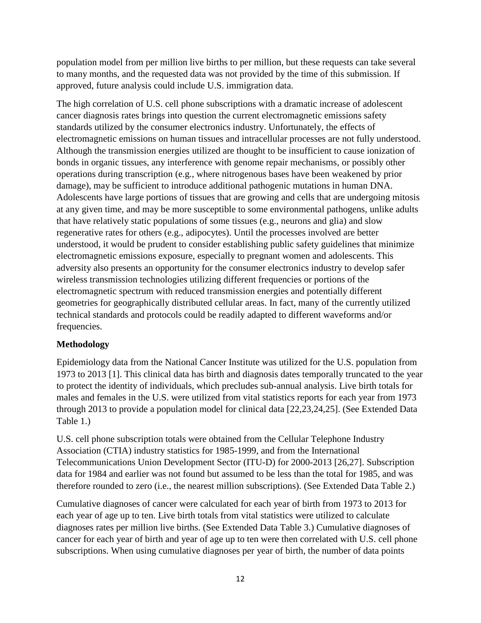population model from per million live births to per million, but these requests can take several to many months, and the requested data was not provided by the time of this submission. If approved, future analysis could include U.S. immigration data.

The high correlation of U.S. cell phone subscriptions with a dramatic increase of adolescent cancer diagnosis rates brings into question the current electromagnetic emissions safety standards utilized by the consumer electronics industry. Unfortunately, the effects of electromagnetic emissions on human tissues and intracellular processes are not fully understood. Although the transmission energies utilized are thought to be insufficient to cause ionization of bonds in organic tissues, any interference with genome repair mechanisms, or possibly other operations during transcription (e.g., where nitrogenous bases have been weakened by prior damage), may be sufficient to introduce additional pathogenic mutations in human DNA. Adolescents have large portions of tissues that are growing and cells that are undergoing mitosis at any given time, and may be more susceptible to some environmental pathogens, unlike adults that have relatively static populations of some tissues (e.g., neurons and glia) and slow regenerative rates for others (e.g., adipocytes). Until the processes involved are better understood, it would be prudent to consider establishing public safety guidelines that minimize electromagnetic emissions exposure, especially to pregnant women and adolescents. This adversity also presents an opportunity for the consumer electronics industry to develop safer wireless transmission technologies utilizing different frequencies or portions of the electromagnetic spectrum with reduced transmission energies and potentially different geometries for geographically distributed cellular areas. In fact, many of the currently utilized technical standards and protocols could be readily adapted to different waveforms and/or frequencies.

### **Methodology**

Epidemiology data from the National Cancer Institute was utilized for the U.S. population from 1973 to 2013 [1]. This clinical data has birth and diagnosis dates temporally truncated to the year to protect the identity of individuals, which precludes sub-annual analysis. Live birth totals for males and females in the U.S. were utilized from vital statistics reports for each year from 1973 through 2013 to provide a population model for clinical data [22,23,24,25]. (See Extended Data Table 1.)

U.S. cell phone subscription totals were obtained from the Cellular Telephone Industry Association (CTIA) industry statistics for 1985-1999, and from the International Telecommunications Union Development Sector (ITU-D) for 2000-2013 [26,27]. Subscription data for 1984 and earlier was not found but assumed to be less than the total for 1985, and was therefore rounded to zero (i.e., the nearest million subscriptions). (See Extended Data Table 2.)

Cumulative diagnoses of cancer were calculated for each year of birth from 1973 to 2013 for each year of age up to ten. Live birth totals from vital statistics were utilized to calculate diagnoses rates per million live births. (See Extended Data Table 3.) Cumulative diagnoses of cancer for each year of birth and year of age up to ten were then correlated with U.S. cell phone subscriptions. When using cumulative diagnoses per year of birth, the number of data points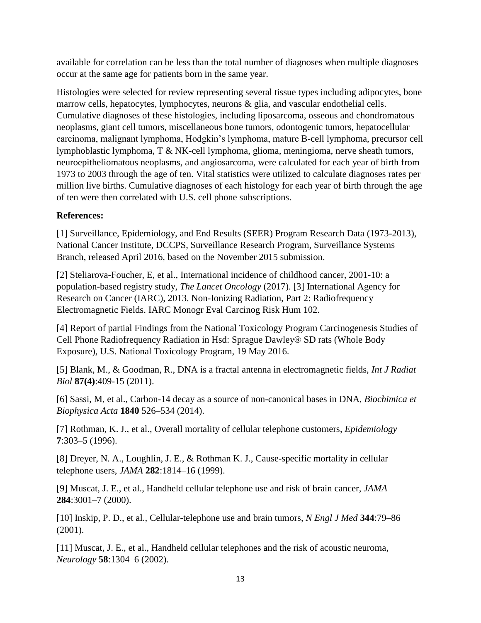available for correlation can be less than the total number of diagnoses when multiple diagnoses occur at the same age for patients born in the same year.

Histologies were selected for review representing several tissue types including adipocytes, bone marrow cells, hepatocytes, lymphocytes, neurons & glia, and vascular endothelial cells. Cumulative diagnoses of these histologies, including liposarcoma, osseous and chondromatous neoplasms, giant cell tumors, miscellaneous bone tumors, odontogenic tumors, hepatocellular carcinoma, malignant lymphoma, Hodgkin's lymphoma, mature B-cell lymphoma, precursor cell lymphoblastic lymphoma, T & NK-cell lymphoma, glioma, meningioma, nerve sheath tumors, neuroepitheliomatous neoplasms, and angiosarcoma, were calculated for each year of birth from 1973 to 2003 through the age of ten. Vital statistics were utilized to calculate diagnoses rates per million live births. Cumulative diagnoses of each histology for each year of birth through the age of ten were then correlated with U.S. cell phone subscriptions.

### **References:**

[1] Surveillance, Epidemiology, and End Results (SEER) Program Research Data (1973-2013), National Cancer Institute, DCCPS, Surveillance Research Program, Surveillance Systems Branch, released April 2016, based on the November 2015 submission.

[2] Steliarova-Foucher, E, et al., International incidence of childhood cancer, 2001-10: a population-based registry study, *The Lancet Oncology* (2017). [3] International Agency for Research on Cancer (IARC), 2013. Non-Ionizing Radiation, Part 2: Radiofrequency Electromagnetic Fields. IARC Monogr Eval Carcinog Risk Hum 102.

[4] Report of partial Findings from the National Toxicology Program Carcinogenesis Studies of Cell Phone Radiofrequency Radiation in Hsd: Sprague Dawley® SD rats (Whole Body Exposure), U.S. National Toxicology Program, 19 May 2016.

[5] Blank, M., & Goodman, R., DNA is a fractal antenna in electromagnetic fields, *Int J Radiat Biol* **87(4)**:409-15 (2011).

[6] Sassi, M, et al., Carbon-14 decay as a source of non-canonical bases in DNA, *Biochimica et Biophysica Acta* **1840** 526–534 (2014).

[7] Rothman, K. J., et al., Overall mortality of cellular telephone customers, *Epidemiology* **7**:303–5 (1996).

[8] Dreyer, N. A., Loughlin, J. E., & Rothman K. J., Cause-specific mortality in cellular telephone users, *JAMA* **282**:1814–16 (1999).

[9] Muscat, J. E., et al., Handheld cellular telephone use and risk of brain cancer, *JAMA* **284**:3001–7 (2000).

[10] Inskip, P. D., et al., Cellular-telephone use and brain tumors, *N Engl J Med* **344**:79–86 (2001).

[11] Muscat, J. E., et al., Handheld cellular telephones and the risk of acoustic neuroma, *Neurology* **58**:1304–6 (2002).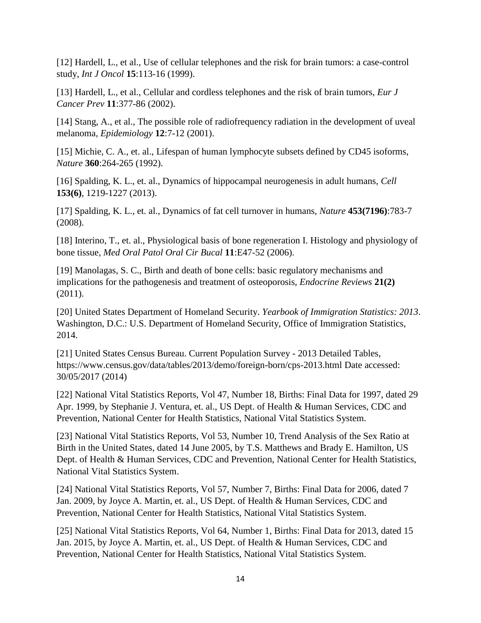[12] Hardell, L., et al., Use of cellular telephones and the risk for brain tumors: a case-control study, *Int J Oncol* **15**:113-16 (1999).

[13] Hardell, L., et al., Cellular and cordless telephones and the risk of brain tumors, *Eur J Cancer Prev* **11**:377-86 (2002).

[14] Stang, A., et al., The possible role of radiofrequency radiation in the development of uveal melanoma, *Epidemiology* **12**:7-12 (2001).

[15] Michie, C. A., et. al., Lifespan of human lymphocyte subsets defined by CD45 isoforms, *Nature* **360**:264-265 (1992).

[16] Spalding, K. L., et. al., Dynamics of hippocampal neurogenesis in adult humans, *Cell* **153(6)**, 1219-1227 (2013).

[17] Spalding, K. L., et. al., Dynamics of fat cell turnover in humans, *Nature* **453(7196)**:783-7 (2008).

[18] Interino, T., et. al., Physiological basis of bone regeneration I. Histology and physiology of bone tissue, *Med Oral Patol Oral Cir Bucal* **11**:E47-52 (2006).

[19] Manolagas, S. C., Birth and death of bone cells: basic regulatory mechanisms and implications for the pathogenesis and treatment of osteoporosis, *Endocrine Reviews* **21(2)**  (2011).

[20] United States Department of Homeland Security. *Yearbook of Immigration Statistics: 2013*. Washington, D.C.: U.S. Department of Homeland Security, Office of Immigration Statistics, 2014.

[21] United States Census Bureau. Current Population Survey - 2013 Detailed Tables, https://www.census.gov/data/tables/2013/demo/foreign-born/cps-2013.html Date accessed: 30/05/2017 (2014)

[22] National Vital Statistics Reports, Vol 47, Number 18, Births: Final Data for 1997, dated 29 Apr. 1999, by Stephanie J. Ventura, et. al., US Dept. of Health & Human Services, CDC and Prevention, National Center for Health Statistics, National Vital Statistics System.

[23] National Vital Statistics Reports, Vol 53, Number 10, Trend Analysis of the Sex Ratio at Birth in the United States, dated 14 June 2005, by T.S. Matthews and Brady E. Hamilton, US Dept. of Health & Human Services, CDC and Prevention, National Center for Health Statistics, National Vital Statistics System.

[24] National Vital Statistics Reports, Vol 57, Number 7, Births: Final Data for 2006, dated 7 Jan. 2009, by Joyce A. Martin, et. al., US Dept. of Health & Human Services, CDC and Prevention, National Center for Health Statistics, National Vital Statistics System.

[25] National Vital Statistics Reports, Vol 64, Number 1, Births: Final Data for 2013, dated 15 Jan. 2015, by Joyce A. Martin, et. al., US Dept. of Health & Human Services, CDC and Prevention, National Center for Health Statistics, National Vital Statistics System.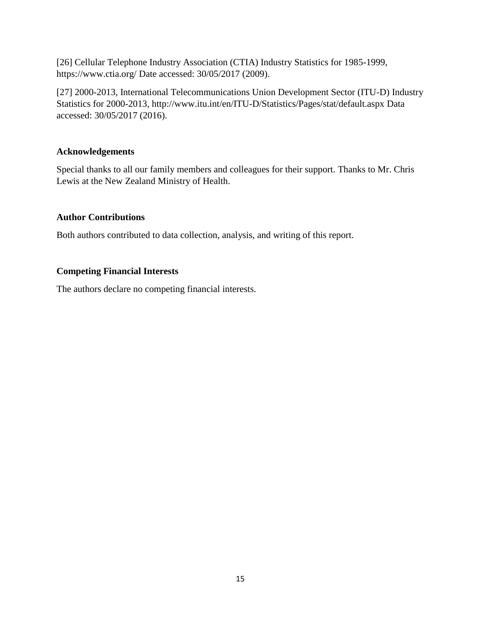[26] Cellular Telephone Industry Association (CTIA) Industry Statistics for 1985-1999, https://www.ctia.org/ Date accessed: 30/05/2017 (2009).

[27] 2000-2013, International Telecommunications Union Development Sector (ITU-D) Industry Statistics for 2000-2013, http://www.itu.int/en/ITU-D/Statistics/Pages/stat/default.aspx Data accessed: 30/05/2017 (2016).

### **Acknowledgements**

Special thanks to all our family members and colleagues for their support. Thanks to Mr. Chris Lewis at the New Zealand Ministry of Health.

### **Author Contributions**

Both authors contributed to data collection, analysis, and writing of this report.

## **Competing Financial Interests**

The authors declare no competing financial interests.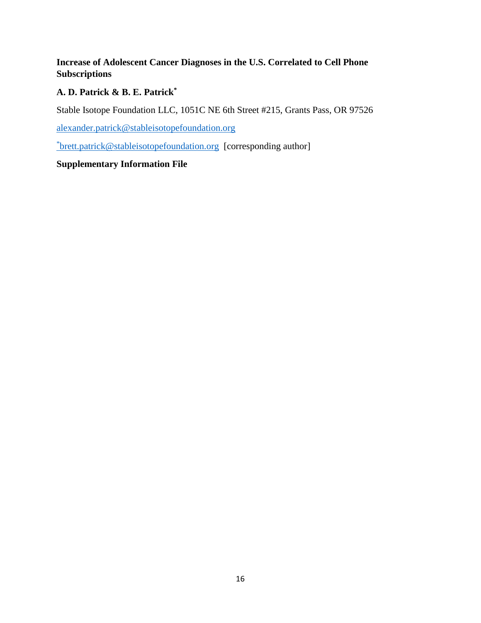## **Increase of Adolescent Cancer Diagnoses in the U.S. Correlated to Cell Phone Subscriptions**

### **A. D. Patrick & B. E. Patrick\***

Stable Isotope Foundation LLC, 1051C NE 6th Street #215, Grants Pass, OR 97526

[alexander.patrick@stableisotopefoundation.org](mailto:alexander.patrick@stableisotopefoundation.org)

\* [brett.patrick@stableisotopefoundation.org](mailto:brett.patrick@stableisotopefoundation.org) [corresponding author]

### **Supplementary Information File**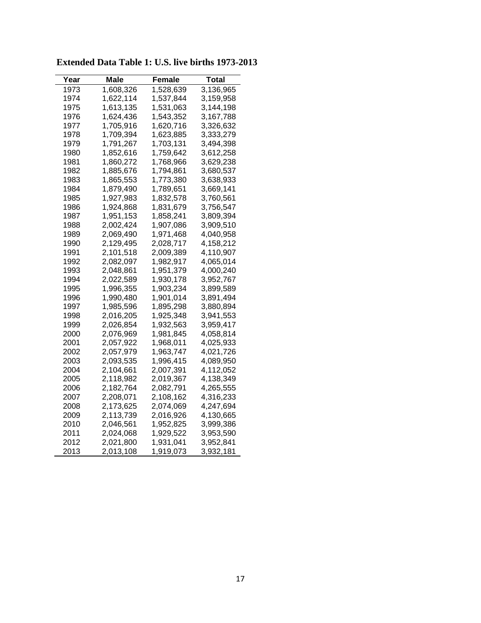| Year | Male      | Female    | Total     |
|------|-----------|-----------|-----------|
| 1973 | 1,608,326 | 1,528,639 | 3,136,965 |
| 1974 | 1,622,114 | 1,537,844 | 3,159,958 |
| 1975 | 1,613,135 | 1,531,063 | 3,144,198 |
| 1976 | 1,624,436 | 1,543,352 | 3,167,788 |
| 1977 | 1,705,916 | 1,620,716 | 3,326,632 |
| 1978 | 1,709,394 | 1,623,885 | 3,333,279 |
| 1979 | 1,791,267 | 1,703,131 | 3,494,398 |
| 1980 | 1,852,616 | 1,759,642 | 3,612,258 |
| 1981 | 1,860,272 | 1,768,966 | 3,629,238 |
| 1982 | 1,885,676 | 1,794,861 | 3,680,537 |
| 1983 | 1,865,553 | 1,773,380 | 3,638,933 |
| 1984 | 1,879,490 | 1,789,651 | 3,669,141 |
| 1985 | 1,927,983 | 1,832,578 | 3,760,561 |
| 1986 | 1,924,868 | 1,831,679 | 3,756,547 |
| 1987 | 1,951,153 | 1,858,241 | 3,809,394 |
| 1988 | 2,002,424 | 1,907,086 | 3,909,510 |
| 1989 | 2,069,490 | 1,971,468 | 4,040,958 |
| 1990 | 2,129,495 | 2,028,717 | 4,158,212 |
| 1991 | 2,101,518 | 2,009,389 | 4,110,907 |
| 1992 | 2,082,097 | 1,982,917 | 4,065,014 |
| 1993 | 2,048,861 | 1,951,379 | 4,000,240 |
| 1994 | 2,022,589 | 1,930,178 | 3,952,767 |
| 1995 | 1,996,355 | 1,903,234 | 3,899,589 |
| 1996 | 1,990,480 | 1,901,014 | 3,891,494 |
| 1997 | 1,985,596 | 1,895,298 | 3,880,894 |
| 1998 | 2,016,205 | 1,925,348 | 3,941,553 |
| 1999 | 2,026,854 | 1,932,563 | 3,959,417 |
| 2000 | 2,076,969 | 1,981,845 | 4,058,814 |
| 2001 | 2,057,922 | 1,968,011 | 4,025,933 |
| 2002 | 2,057,979 | 1,963,747 | 4,021,726 |
| 2003 | 2,093,535 | 1,996,415 | 4,089,950 |
| 2004 | 2,104,661 | 2,007,391 | 4,112,052 |
| 2005 | 2,118,982 | 2,019,367 | 4,138,349 |
| 2006 | 2,182,764 | 2,082,791 | 4,265,555 |
| 2007 | 2,208,071 | 2,108,162 | 4,316,233 |
| 2008 | 2,173,625 | 2,074,069 | 4,247,694 |
| 2009 | 2,113,739 | 2,016,926 | 4,130,665 |
| 2010 | 2,046,561 | 1,952,825 | 3,999,386 |
| 2011 | 2,024,068 | 1,929,522 | 3,953,590 |
| 2012 | 2,021,800 | 1,931,041 | 3,952,841 |
| 2013 | 2,013,108 | 1,919,073 | 3,932,181 |

**Extended Data Table 1: U.S. live births 1973-2013**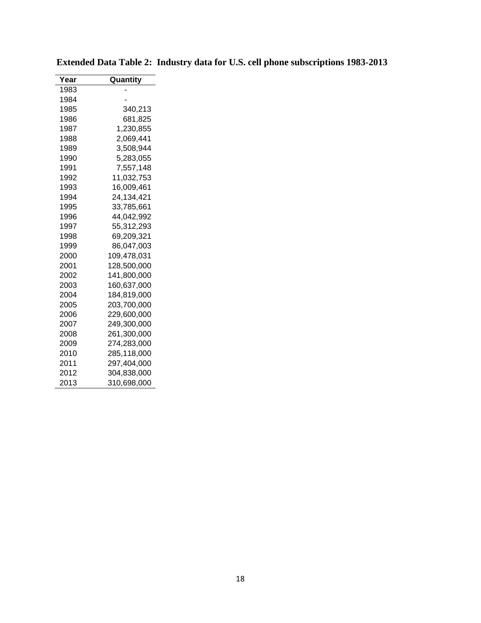| Year | Quantity    |
|------|-------------|
| 1983 |             |
| 1984 |             |
| 1985 | 340,213     |
| 1986 | 681,825     |
| 1987 | 1,230,855   |
| 1988 | 2,069,441   |
| 1989 | 3,508,944   |
| 1990 | 5,283,055   |
| 1991 | 7,557,148   |
| 1992 | 11,032,753  |
| 1993 | 16,009,461  |
| 1994 | 24,134,421  |
| 1995 | 33,785,661  |
| 1996 | 44,042,992  |
| 1997 | 55,312,293  |
| 1998 | 69,209,321  |
| 1999 | 86,047,003  |
| 2000 | 109,478,031 |
| 2001 | 128,500,000 |
| 2002 | 141,800,000 |
| 2003 | 160,637,000 |
| 2004 | 184,819,000 |
| 2005 | 203,700,000 |
| 2006 | 229,600,000 |
| 2007 | 249,300,000 |
| 2008 | 261,300,000 |
| 2009 | 274,283,000 |
| 2010 | 285,118,000 |
| 2011 | 297,404,000 |
| 2012 | 304,838,000 |
| 2013 | 310,698,000 |

**Extended Data Table 2: Industry data for U.S. cell phone subscriptions 1983-2013**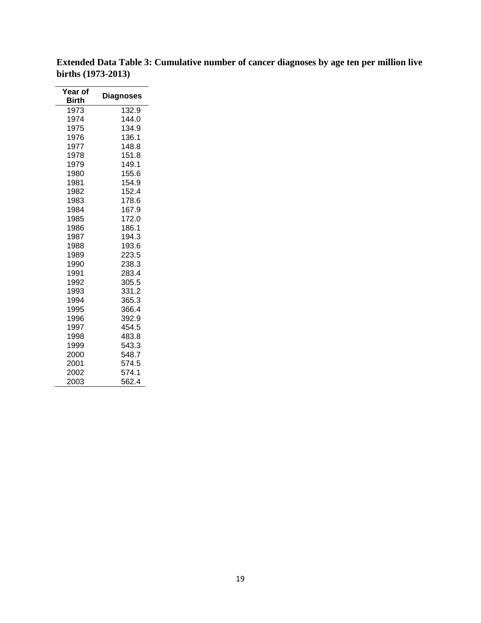| Year of<br>Birth | <b>Diagnoses</b> |
|------------------|------------------|
| 1973             | 132.9            |
| 1974             | 144.0            |
| 1975             | 134.9            |
| 1976             | 136.1            |
| 1977             | 148.8            |
| 1978             | 151.8            |
| 1979             | 149.1            |
| 1980             | 155.6            |
| 1981             | 154.9            |
| 1982             | 152.4            |
| 1983             | 178.6            |
| 1984             | 167.9            |
| 1985             | 172.0            |
| 1986             | 186.1            |
| 1987             | 194.3            |
| 1988             | 193.6            |
| 1989             | 223.5            |
| 1990             | 238.3            |
| 1991             | 283.4            |
| 1992             | 305.5            |
| 1993             | 331.2            |
| 1994             | 365.3            |
| 1995             | 366.4            |
| 1996             | 392.9            |
| 1997             | 454.5            |
| 1998             | 483.8            |
| 1999             | 543.3            |
| 2000             | 548.7            |
| 2001             | 574.5            |
| 2002             | 574.1            |
| 2003             | 562.4            |

**Extended Data Table 3: Cumulative number of cancer diagnoses by age ten per million live births (1973-2013)**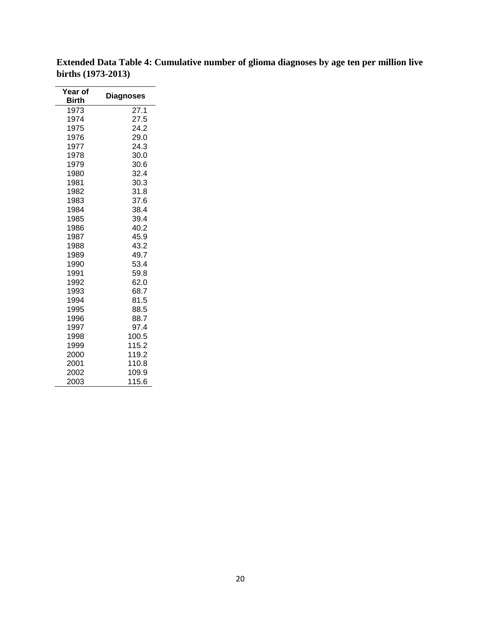| Year of<br><b>Birth</b> | <b>Diagnoses</b> |
|-------------------------|------------------|
| 1973                    | 27.1             |
| 1974                    | 27.5             |
| 1975                    | 24.2             |
| 1976                    | 29.0             |
| 1977                    | 24.3             |
| 1978                    | 30.0             |
| 1979                    | 30.6             |
| 1980                    | 32.4             |
| 1981                    | 30.3             |
| 1982                    | 31.8             |
| 1983                    | 37.6             |
| 1984                    | 38.4             |
| 1985                    | 39.4             |
| 1986                    | 40.2             |
| 1987                    | 45.9             |
| 1988                    | 43.2             |
| 1989                    | 49.7             |
| 1990                    | 53.4             |
| 1991                    | 59.8             |
| 1992                    | 62.0             |
| 1993                    | 68.7             |
| 1994                    | 81.5             |
| 1995                    | 88.5             |
| 1996                    | 88.7             |
| 1997                    | 97.4             |
| 1998                    | 100.5            |
| 1999                    | 115.2            |
| 2000                    | 119.2            |
| 2001                    | 110.8            |
| 2002                    | 109.9            |
| 2003                    | 115.6            |

**Extended Data Table 4: Cumulative number of glioma diagnoses by age ten per million live births (1973-2013)**